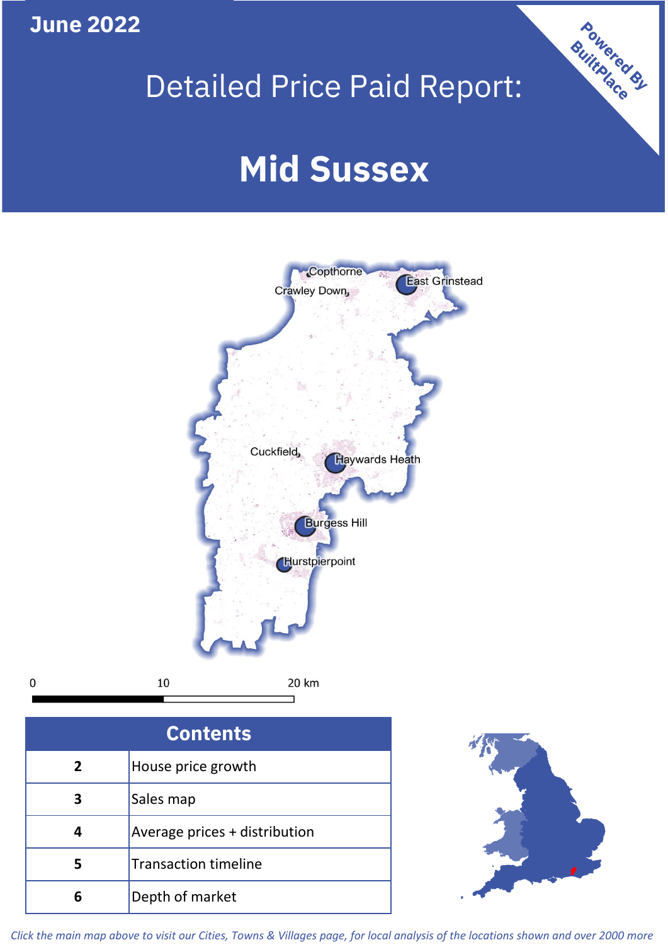**June 2022**

**5**

**4**

**3**

Sales map

**6** Depth of market

Average prices + distribution

Transaction timeline

## Detailed Price Paid Report:

Powered By

# **Mid Sussex**



*Click the main map above to visit our Cities, Towns & Villages page, for local analysis of the locations shown and over 2000 more*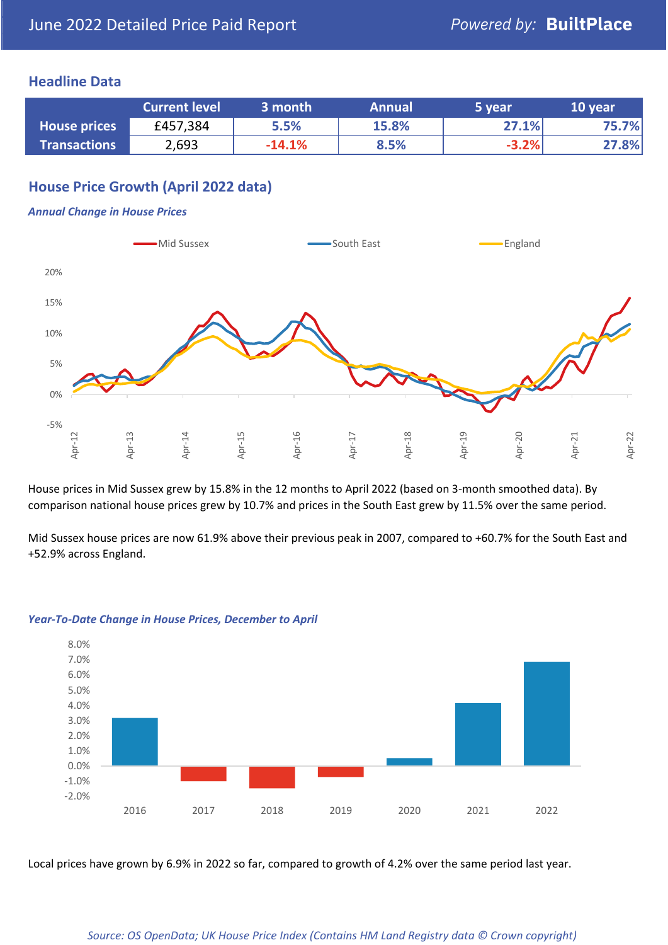## **Headline Data**

|                     | <b>Current level</b> | 3 month  | <b>Annual</b> | 5 vear  | 10 year |
|---------------------|----------------------|----------|---------------|---------|---------|
| <b>House prices</b> | £457,384             | 5.5%     | 15.8%         | 27.1%   | 75.7%   |
| <b>Transactions</b> | 2,693                | $-14.1%$ | 8.5%          | $-3.2%$ | 27.8%   |

## **House Price Growth (April 2022 data)**

#### *Annual Change in House Prices*



House prices in Mid Sussex grew by 15.8% in the 12 months to April 2022 (based on 3-month smoothed data). By comparison national house prices grew by 10.7% and prices in the South East grew by 11.5% over the same period.

Mid Sussex house prices are now 61.9% above their previous peak in 2007, compared to +60.7% for the South East and +52.9% across England.



#### *Year-To-Date Change in House Prices, December to April*

Local prices have grown by 6.9% in 2022 so far, compared to growth of 4.2% over the same period last year.

#### *Source: OS OpenData; UK House Price Index (Contains HM Land Registry data © Crown copyright)*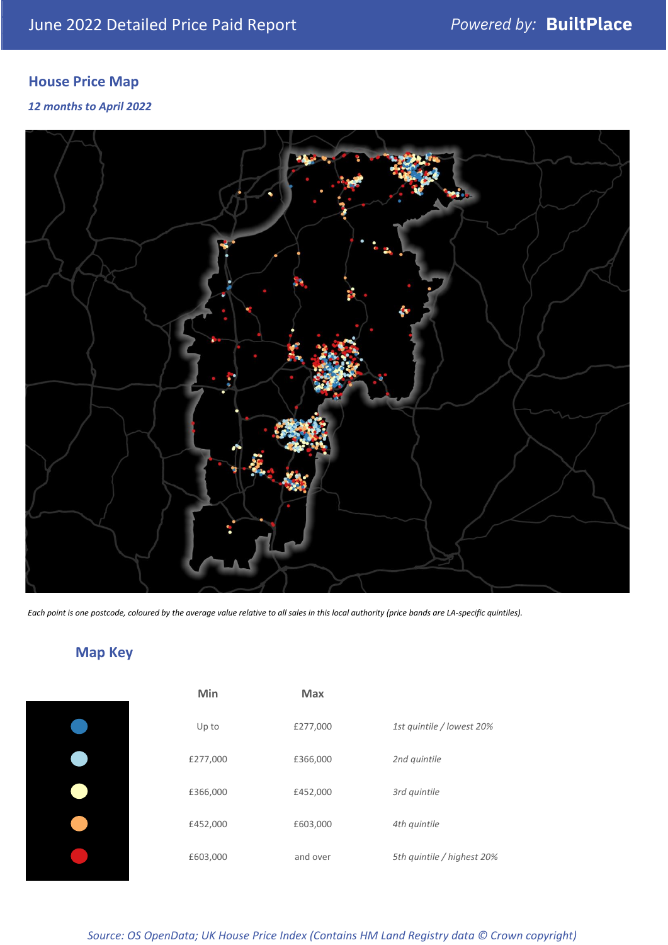## **House Price Map**

### *12 months to April 2022*



*Each point is one postcode, coloured by the average value relative to all sales in this local authority (price bands are LA-specific quintiles).*

## **Map Key**

| Min      | <b>Max</b> |                            |
|----------|------------|----------------------------|
| Up to    | £277,000   | 1st quintile / lowest 20%  |
| £277,000 | £366,000   | 2nd quintile               |
| £366,000 | £452,000   | 3rd quintile               |
| £452,000 | £603,000   | 4th quintile               |
| £603,000 | and over   | 5th quintile / highest 20% |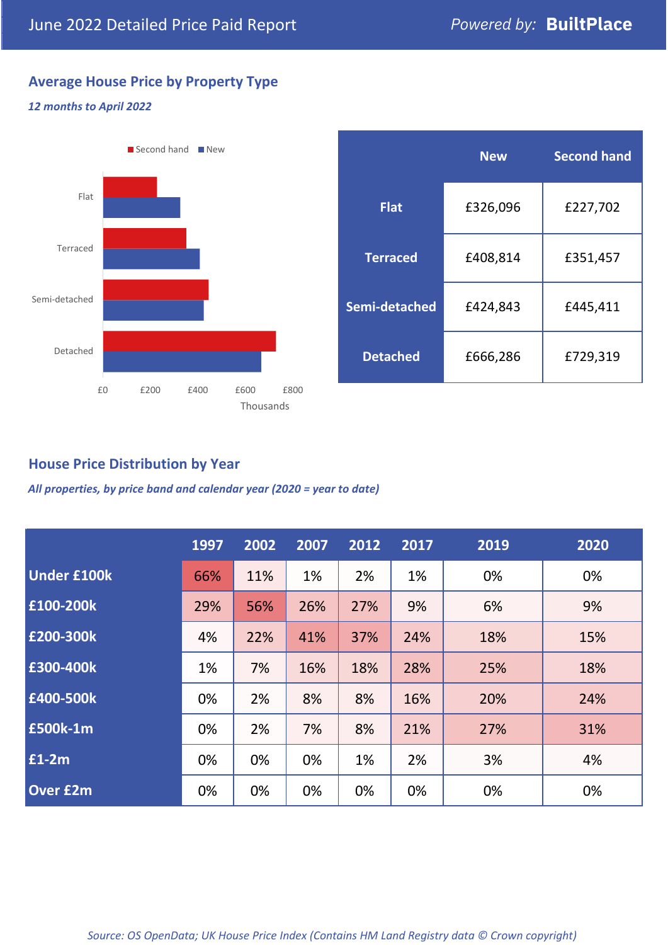## **Average House Price by Property Type**

#### *12 months to April 2022*



|                 | <b>New</b> | <b>Second hand</b> |  |  |
|-----------------|------------|--------------------|--|--|
| <b>Flat</b>     | £326,096   | £227,702           |  |  |
| <b>Terraced</b> | £408,814   | £351,457           |  |  |
| Semi-detached   | £424,843   | £445,411           |  |  |
| <b>Detached</b> | £666,286   | £729,319           |  |  |

## **House Price Distribution by Year**

*All properties, by price band and calendar year (2020 = year to date)*

|                    | 1997 | 2002 | 2007 | 2012 | 2017 | 2019 | 2020 |
|--------------------|------|------|------|------|------|------|------|
| <b>Under £100k</b> | 66%  | 11%  | 1%   | 2%   | 1%   | 0%   | 0%   |
| £100-200k          | 29%  | 56%  | 26%  | 27%  | 9%   | 6%   | 9%   |
| E200-300k          | 4%   | 22%  | 41%  | 37%  | 24%  | 18%  | 15%  |
| £300-400k          | 1%   | 7%   | 16%  | 18%  | 28%  | 25%  | 18%  |
| £400-500k          | 0%   | 2%   | 8%   | 8%   | 16%  | 20%  | 24%  |
| <b>£500k-1m</b>    | 0%   | 2%   | 7%   | 8%   | 21%  | 27%  | 31%  |
| £1-2m              | 0%   | 0%   | 0%   | 1%   | 2%   | 3%   | 4%   |
| <b>Over £2m</b>    | 0%   | 0%   | 0%   | 0%   | 0%   | 0%   | 0%   |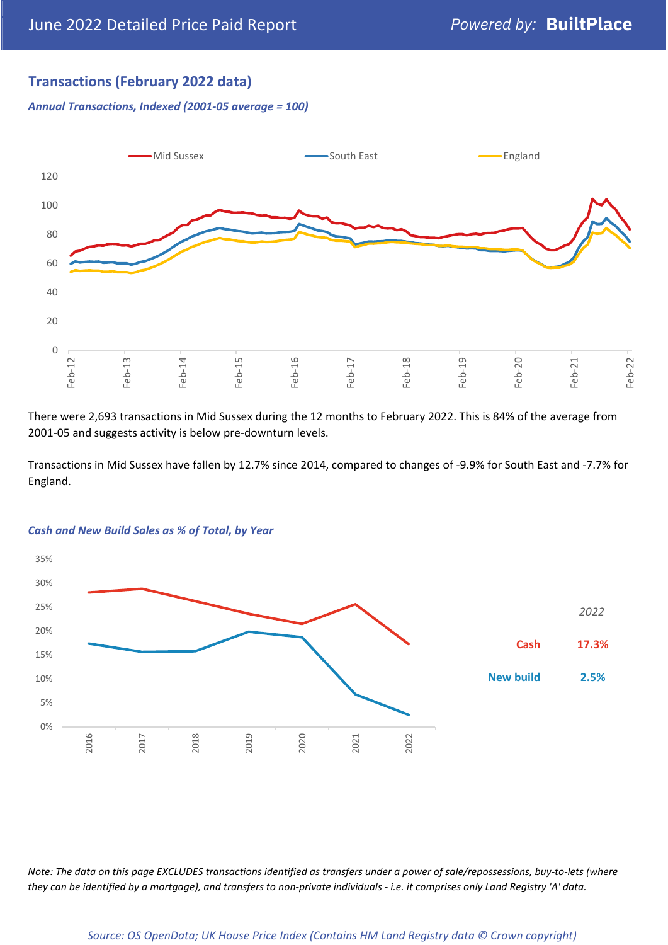## **Transactions (February 2022 data)**

*Annual Transactions, Indexed (2001-05 average = 100)*



There were 2,693 transactions in Mid Sussex during the 12 months to February 2022. This is 84% of the average from 2001-05 and suggests activity is below pre-downturn levels.

Transactions in Mid Sussex have fallen by 12.7% since 2014, compared to changes of -9.9% for South East and -7.7% for England.



#### *Cash and New Build Sales as % of Total, by Year*

*Note: The data on this page EXCLUDES transactions identified as transfers under a power of sale/repossessions, buy-to-lets (where they can be identified by a mortgage), and transfers to non-private individuals - i.e. it comprises only Land Registry 'A' data.*